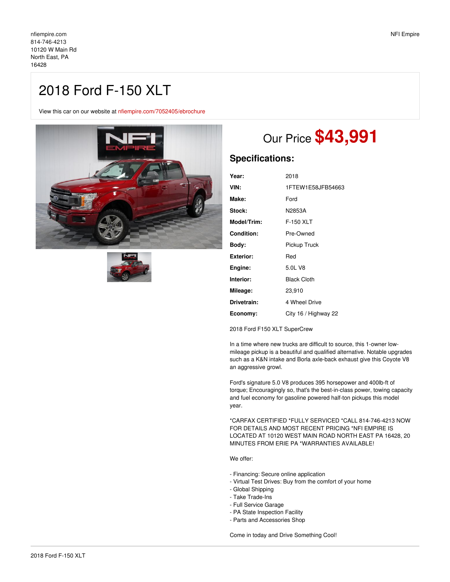## 2018 Ford F-150 XLT

View this car on our website at [nfiempire.com/7052405/ebrochure](https://nfiempire.com/vehicle/7052405/2018-ford-f-150-xlt-north-east-pa-16428/7052405/ebrochure)





## Our Price **\$43,991**

## **Specifications:**

| 2018                 |
|----------------------|
| 1FTEW1E58JFB54663    |
| Ford                 |
| N2853A               |
| F-150 XLT            |
| Pre-Owned            |
| Pickup Truck         |
| Red                  |
| 5.0L V8              |
| <b>Black Cloth</b>   |
| 23,910               |
| 4 Wheel Drive        |
| City 16 / Highway 22 |
|                      |

2018 Ford F150 XLT SuperCrew

In a time where new trucks are difficult to source, this 1-owner lowmileage pickup is a beautiful and qualified alternative. Notable upgrades such as a K&N intake and Borla axle-back exhaust give this Coyote V8 an aggressive growl.

Ford's signature 5.0 V8 produces 395 horsepower and 400lb-ft of torque; Encouragingly so, that's the best-in-class power, towing capacity and fuel economy for gasoline powered half-ton pickups this model year.

\*CARFAX CERTIFIED \*FULLY SERVICED \*CALL 814-746-4213 NOW FOR DETAILS AND MOST RECENT PRICING \*NFI EMPIRE IS LOCATED AT 10120 WEST MAIN ROAD NORTH EAST PA 16428, 20 MINUTES FROM ERIE PA \*WARRANTIES AVAILABLE!

We offer:

- Financing: Secure online application
- Virtual Test Drives: Buy from the comfort of your home
- Global Shipping
- Take Trade-Ins
- Full Service Garage
- PA State Inspection Facility
- Parts and Accessories Shop

Come in today and Drive Something Cool!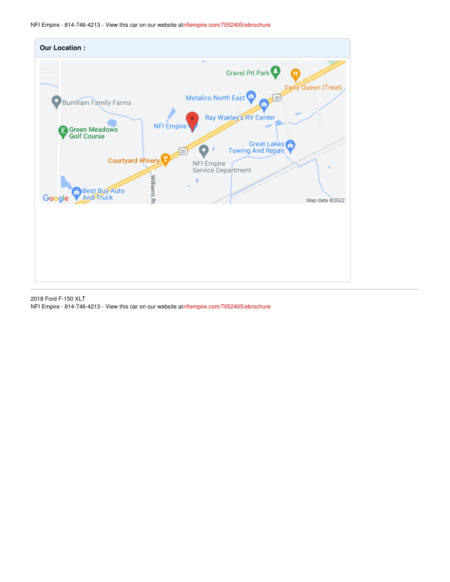NFI Empire - 814-746-4213 - View this car on our website at[nfiempire.com/7052405/ebrochure](https://nfiempire.com/vehicle/7052405/2018-ford-f-150-xlt-north-east-pa-16428/7052405/ebrochure)



2018 Ford F-150 XLT NFI Empire - 814-746-4213 - View this car on our website at[nfiempire.com/7052405/ebrochure](https://nfiempire.com/vehicle/7052405/2018-ford-f-150-xlt-north-east-pa-16428/7052405/ebrochure)